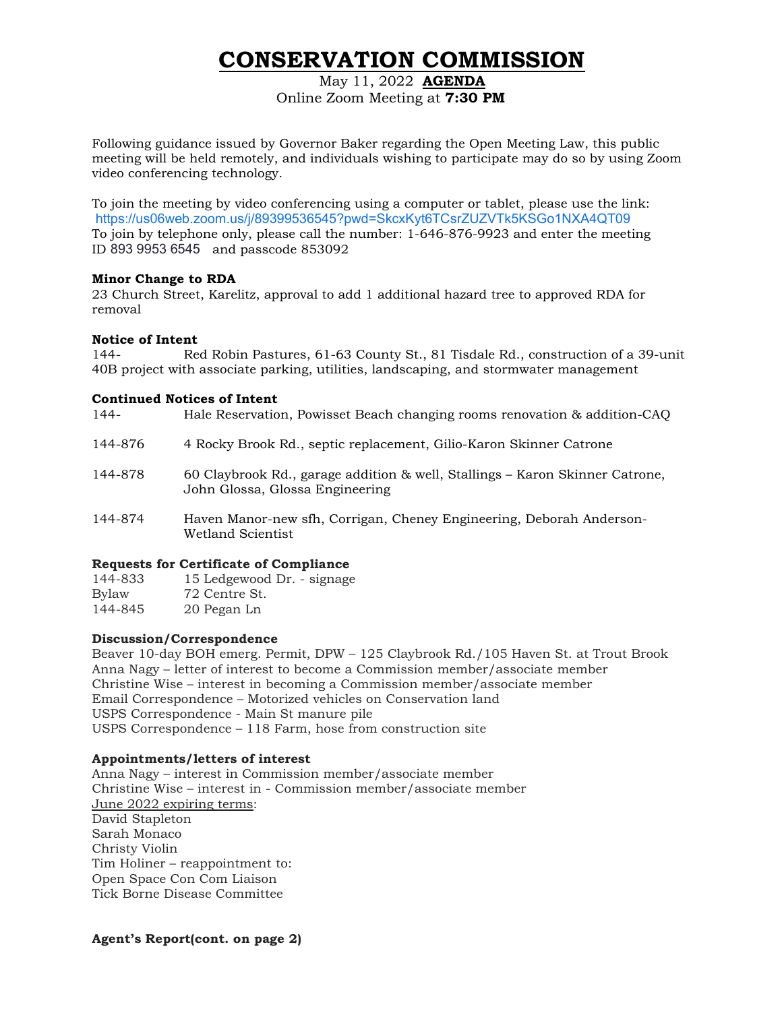# **CONSERVATION COMMISSION**

May 11, 2022 **AGENDA** Online Zoom Meeting at **7:30 PM**

Following guidance issued by Governor Baker regarding the Open Meeting Law, this public meeting will be held remotely, and individuals wishing to participate may do so by using Zoom video conferencing technology.

To join the meeting by video conferencing using a computer or tablet, please use the link: <https://us06web.zoom.us/j/89399536545?pwd=SkcxKyt6TCsrZUZVTk5KSGo1NXA4QT09> To join by telephone only, please call the number: 1-646-876-9923 and enter the meeting ID 893 9953 6545 and passcode 853092

### **Minor Change to RDA**

23 Church Street, Karelitz, approval to add 1 additional hazard tree to approved RDA for removal

### **Notice of Intent**

144- Red Robin Pastures, 61-63 County St., 81 Tisdale Rd., construction of a 39-unit 40B project with associate parking, utilities, landscaping, and stormwater management

### **Continued Notices of Intent**

| <b>Requests for Certificate of Compliance</b> |                                                                                                                 |  |
|-----------------------------------------------|-----------------------------------------------------------------------------------------------------------------|--|
| 144-874                                       | Haven Manor-new sfh, Corrigan, Cheney Engineering, Deborah Anderson-<br>Wetland Scientist                       |  |
| 144-878                                       | 60 Claybrook Rd., garage addition & well, Stallings – Karon Skinner Catrone,<br>John Glossa, Glossa Engineering |  |
| 144-876                                       | 4 Rocky Brook Rd., septic replacement, Gilio-Karon Skinner Catrone                                              |  |
| 144-                                          | Hale Reservation, Powisset Beach changing rooms renovation & addition-CAQ                                       |  |

| 144-833 | 15 Ledgewood Dr. - signage |
|---------|----------------------------|
| Bylaw   | 72 Centre St.              |
| 144-845 | 20 Pegan Ln                |

## **Discussion/Correspondence**

Beaver 10-day BOH emerg. Permit, DPW – 125 Claybrook Rd./105 Haven St. at Trout Brook Anna Nagy – letter of interest to become a Commission member/associate member Christine Wise – interest in becoming a Commission member/associate member Email Correspondence – Motorized vehicles on Conservation land USPS Correspondence - Main St manure pile USPS Correspondence – 118 Farm, hose from construction site

# **Appointments/letters of interest**

Anna Nagy – interest in Commission member/associate member Christine Wise – interest in - Commission member/associate member June 2022 expiring terms: David Stapleton Sarah Monaco Christy Violin Tim Holiner – reappointment to: Open Space Con Com Liaison Tick Borne Disease Committee

**Agent's Report(cont. on page 2)**